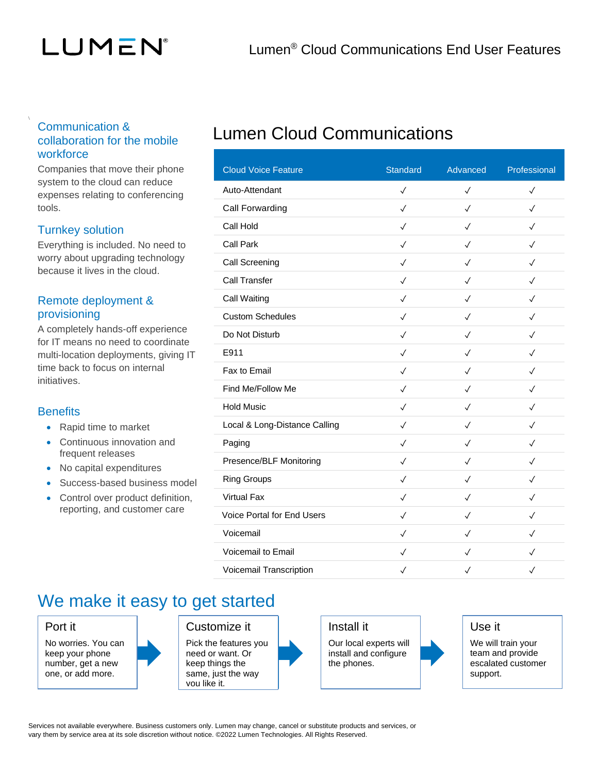# LUMEN®

### Communication & collaboration for the mobile workforce

Companies that move their phone system to the cloud can reduce expenses relating to conferencing tools.

### Turnkey solution

Everything is included. No need to worry about upgrading technology because it lives in the cloud.

### Remote deployment & provisioning

A completely hands-off experience for IT means no need to coordinate multi-location deployments, giving IT time back to focus on internal initiatives.

### **Benefits**

- Rapid time to market
- Continuous innovation and frequent releases
- No capital expenditures
- Success-based business model
- Control over product definition. reporting, and customer care

## Lumen Cloud Communications

| <b>Cloud Voice Feature</b>        | <b>Standard</b> | Advanced     | Professional |
|-----------------------------------|-----------------|--------------|--------------|
| Auto-Attendant                    | $\checkmark$    | $\checkmark$ | $\checkmark$ |
| Call Forwarding                   | $\checkmark$    | $\checkmark$ | $\checkmark$ |
| Call Hold                         | $\checkmark$    | $\checkmark$ | $\checkmark$ |
| <b>Call Park</b>                  | $\checkmark$    | $\checkmark$ | $\checkmark$ |
| Call Screening                    | $\checkmark$    | ✓            | $\checkmark$ |
| <b>Call Transfer</b>              | $\checkmark$    | $\checkmark$ | $\checkmark$ |
| <b>Call Waiting</b>               | $\checkmark$    | $\checkmark$ | $\checkmark$ |
| <b>Custom Schedules</b>           | $\checkmark$    | $\checkmark$ | $\checkmark$ |
| Do Not Disturb                    | $\checkmark$    | $\checkmark$ | $\sqrt{}$    |
| E911                              | $\checkmark$    | $\checkmark$ | $\checkmark$ |
| Fax to Email                      | $\checkmark$    | $\checkmark$ | $\checkmark$ |
| Find Me/Follow Me                 | $\checkmark$    | $\checkmark$ | $\checkmark$ |
| <b>Hold Music</b>                 | $\checkmark$    | $\checkmark$ | $\checkmark$ |
| Local & Long-Distance Calling     | $\checkmark$    | $\checkmark$ | $\checkmark$ |
| Paging                            | $\checkmark$    | ✓            | $\checkmark$ |
| Presence/BLF Monitoring           | $\checkmark$    | $\checkmark$ | $\checkmark$ |
| <b>Ring Groups</b>                | $\checkmark$    | $\checkmark$ | $\checkmark$ |
| <b>Virtual Fax</b>                | $\checkmark$    | $\checkmark$ | $\checkmark$ |
| <b>Voice Portal for End Users</b> | $\checkmark$    | $\checkmark$ | $\checkmark$ |
| Voicemail                         | $\checkmark$    | ✓            | ✓            |
| Voicemail to Email                | $\checkmark$    | ✓            | $\checkmark$ |
| Voicemail Transcription           | $\checkmark$    | $\checkmark$ | $\checkmark$ |

### We make it easy to get started

Port it

No worries. You can keep your phone number, get a new one, or add more.

### Customize it

Pick the features you need or want. Or keep things the same, just the way you like it.

Install it

Our local experts will install and configure the phones.



Use it

We will train your team and provide escalated customer support.

Services not available everywhere. Business customers only. Lumen may change, cancel or substitute products and services, or vary them by service area at its sole discretion without notice. ©2022 Lumen Technologies. All Rights Reserved.